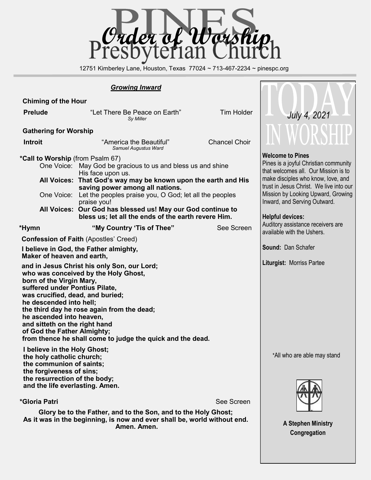

12751 Kimberley Lane, Houston, Texas 77024 ~ 713-467-2234 ~ pinespc.org

 $\mathsf{L}$  $\blacksquare$ 

#### *Growing Inward*

| <b>Chiming of the Hour</b>                                                                                                                                                                                                                                                                                                                                                                                                                                                                                                                                |                                                                                                                                                                                                                                                                                                                                                                                      |                                                                                                                                                                                                                                                                                            |              |  |  |  |
|-----------------------------------------------------------------------------------------------------------------------------------------------------------------------------------------------------------------------------------------------------------------------------------------------------------------------------------------------------------------------------------------------------------------------------------------------------------------------------------------------------------------------------------------------------------|--------------------------------------------------------------------------------------------------------------------------------------------------------------------------------------------------------------------------------------------------------------------------------------------------------------------------------------------------------------------------------------|--------------------------------------------------------------------------------------------------------------------------------------------------------------------------------------------------------------------------------------------------------------------------------------------|--------------|--|--|--|
| <b>Prelude</b>                                                                                                                                                                                                                                                                                                                                                                                                                                                                                                                                            | "Let There Be Peace on Earth"<br>Sy Miller                                                                                                                                                                                                                                                                                                                                           | <b>Tim Holder</b>                                                                                                                                                                                                                                                                          | July 4, 2021 |  |  |  |
| <b>Gathering for Worship</b>                                                                                                                                                                                                                                                                                                                                                                                                                                                                                                                              | WORSHIP                                                                                                                                                                                                                                                                                                                                                                              |                                                                                                                                                                                                                                                                                            |              |  |  |  |
| <b>Introit</b>                                                                                                                                                                                                                                                                                                                                                                                                                                                                                                                                            | "America the Beautiful"<br>Samuel Augustus Ward                                                                                                                                                                                                                                                                                                                                      | <b>Chancel Choir</b>                                                                                                                                                                                                                                                                       |              |  |  |  |
| *Call to Worship (from Psalm 67)<br>One Voice:                                                                                                                                                                                                                                                                                                                                                                                                                                                                                                            | One Voice: May God be gracious to us and bless us and shine<br>His face upon us.<br>All Voices: That God's way may be known upon the earth and His<br>saving power among all nations.<br>Let the peoples praise you, O God; let all the peoples<br>praise you!<br>All Voices: Our God has blessed us! May our God continue to<br>bless us; let all the ends of the earth revere Him. | <b>Welcome to Pines</b><br>Pines is a joyful Christian community<br>that welcomes all. Our Mission is to<br>make disciples who know, love, and<br>trust in Jesus Christ. We live into our<br>Mission by Looking Upward, Growing<br>Inward, and Serving Outward.<br><b>Helpful devices:</b> |              |  |  |  |
| *Hymn<br><b>Confession of Faith (Apostles' Creed)</b><br>I believe in God, the Father almighty,<br>Maker of heaven and earth,<br>and in Jesus Christ his only Son, our Lord;<br>who was conceived by the Holy Ghost,<br>born of the Virgin Mary,<br>suffered under Pontius Pilate,<br>was crucified, dead, and buried;<br>he descended into hell;<br>the third day he rose again from the dead;<br>he ascended into heaven,<br>and sitteth on the right hand<br>of God the Father Almighty;<br>from thence he shall come to judge the quick and the dead. | Auditory assistance receivers are<br>available with the Ushers.<br><b>Sound: Dan Schafer</b><br><b>Liturgist: Morriss Partee</b>                                                                                                                                                                                                                                                     |                                                                                                                                                                                                                                                                                            |              |  |  |  |
| I believe in the Holy Ghost;<br>the holy catholic church;<br>the communion of saints;<br>the forgiveness of sins;<br>the resurrection of the body;<br>and the life everlasting. Amen.<br>*Gloria Patri<br>Glory be to the Father, and to the Son, and to the Holy Ghost;<br>As it was in the beginning, is now and ever shall be, world without end.                                                                                                                                                                                                      | *All who are able may stand<br><b>A Stephen Ministry</b><br>Congregation                                                                                                                                                                                                                                                                                                             |                                                                                                                                                                                                                                                                                            |              |  |  |  |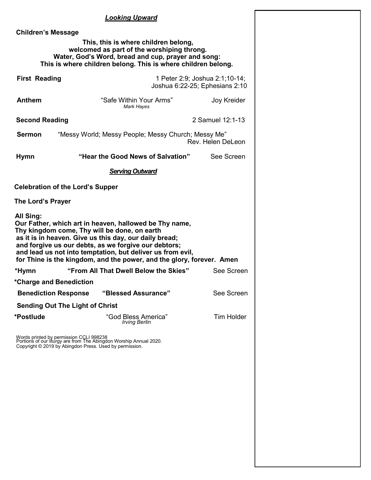#### *Looking Upward*

 **Children's Message This, this is where children belong, welcomed as part of the worshiping throng. Water, God's Word, bread and cup, prayer and song: This is where children belong. This is where children belong. First Reading** 1 Peter 2:9; Joshua 2:1;10-14; Joshua 6:22-25; Ephesians 2:10 **Anthem** "Safe Within Your Arms" Joy Kreider *Mark Hayes* **Second Reading** 2 Samuel 12:1-13 **Sermon** "Messy World; Messy People; Messy Church; Messy Me" Rev. Helen DeLeon **Hymn "Hear the Good News of Salvation"** See Screen **Hymn**  *Serving Outward* **Celebration of the Lord's Supper The Lord's Prayer All Sing: Our Father, which art in heaven, hallowed be Thy name, Thy kingdom come, Thy will be done, on earth as it is in heaven. Give us this day, our daily bread; and forgive us our debts, as we forgive our debtors; and lead us not into temptation, but deliver us from evil, for Thine is the kingdom, and the power, and the glory, forever. Amen**  *\****Hymn "From All That Dwell Below the Skies"** See Screen **\*Charge and Benediction Benediction Response "Blessed Assurance"** See Screen **Sending Out The Light of Christ**  \***Postlude Tim Holder Cod Bless America Tim Holder**  *Irving Berlin* Words printed by permission CCLI 998238 Portions of our liturgy are from The Abingdon Worship Annual 2020. Copyright © 2019 by Abingdon Press. Used by permission.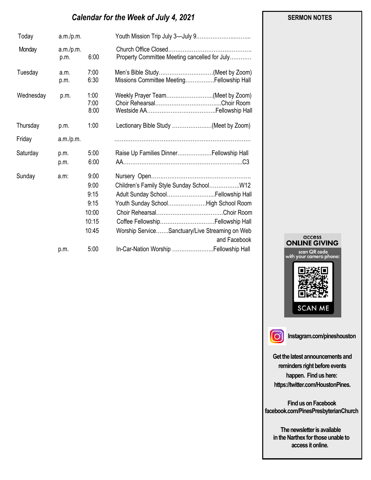# *Calendar for the Week of July 4, 2021*

| Today     | a.m./p.m.         |                                                         |                                                                                                                                                                                                                               |
|-----------|-------------------|---------------------------------------------------------|-------------------------------------------------------------------------------------------------------------------------------------------------------------------------------------------------------------------------------|
| Monday    | a.m./p.m.<br>p.m. | 6:00                                                    | Property Committee Meeting cancelled for July                                                                                                                                                                                 |
| Tuesday   | a.m.<br>p.m.      | 7:00<br>6:30                                            | Men's Bible Study(Meet by Zoom)<br>Missions Committee MeetingFellowship Hall                                                                                                                                                  |
| Wednesday | p.m.              | 1:00<br>7:00<br>8:00                                    | Weekly Prayer Team(Meet by Zoom)                                                                                                                                                                                              |
| Thursday  | p.m.              | 1:00                                                    | Lectionary Bible Study (Meet by Zoom)                                                                                                                                                                                         |
| Friday    | a.m./p.m.         |                                                         |                                                                                                                                                                                                                               |
| Saturday  | p.m.<br>p.m.      | 5:00<br>6:00                                            | Raise Up Families Dinner Fellowship Hall                                                                                                                                                                                      |
| Sunday    | a.m.              | 9:00<br>9:00<br>9:15<br>9:15<br>10:00<br>10:15<br>10:45 | Children's Family Style Sunday SchoolW12<br>Adult Sunday School Fellowship Hall<br>Youth Sunday SchoolHigh School Room<br>Coffee Fellowship Fellowship Hall<br>Worship ServiceSanctuary/Live Streaming on Web<br>and Facebook |
|           | p.m.              | 5:00                                                    | In-Car-Nation Worship  Fellowship Hall                                                                                                                                                                                        |





**Instagram.com/pineshouston**

**Get the latest announcements and reminders right before events happen. Find us here: https://twitter.com/HoustonPines.** 

 **Find us on Facebook facebook.com/PinesPresbyterianChurch** 

 **The newsletter is available in the Narthex for those unable to access it online.** 

#### **SERMON NOTES**